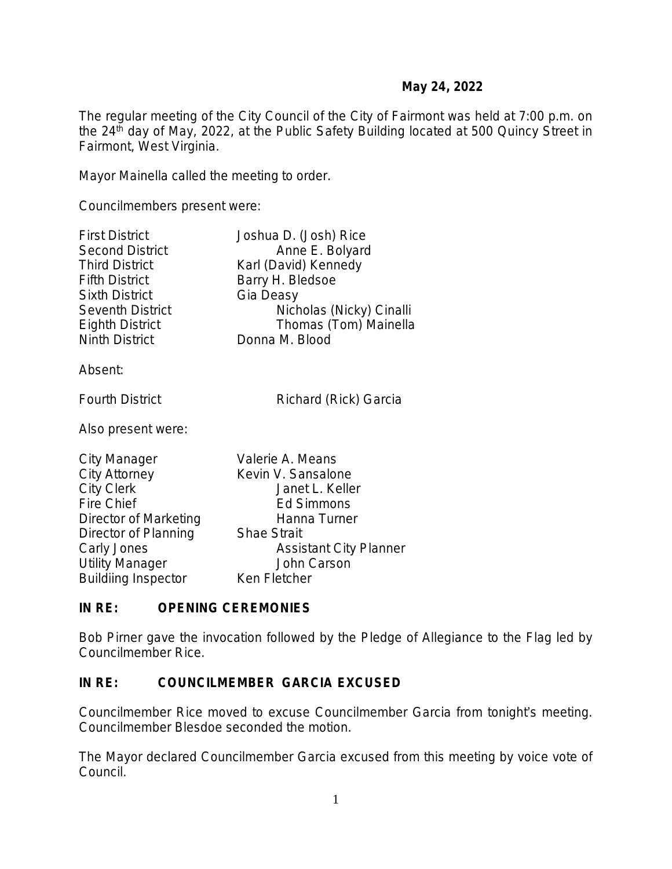The regular meeting of the City Council of the City of Fairmont was held at 7:00 p.m. on the 24<sup>th</sup> day of May, 2022, at the Public Safety Building located at 500 Quincy Street in Fairmont, West Virginia.

Mayor Mainella called the meeting to order.

Councilmembers present were:

| <b>First District</b>   | Joshua D. (Josh) Rice         |
|-------------------------|-------------------------------|
| <b>Second District</b>  | Anne E. Bolyard               |
| <b>Third District</b>   | Karl (David) Kennedy          |
| <b>Fifth District</b>   | Barry H. Bledsoe              |
| <b>Sixth District</b>   | Gia Deasy                     |
| <b>Seventh District</b> | Nicholas (Nicky) Cinalli      |
| <b>Eighth District</b>  | Thomas (Tom) Mainella         |
| <b>Ninth District</b>   | Donna M. Blood                |
| Absent:                 |                               |
| <b>Fourth District</b>  | Richard (Rick) Garcia         |
| Also present were:      |                               |
| <b>City Manager</b>     | Valerie A. Means              |
| City Attorney           | Kevin V. Sansalone            |
| <b>City Clerk</b>       | Janet L. Keller               |
| <b>Fire Chief</b>       | <b>Ed Simmons</b>             |
| Director of Marketing   | Hanna Turner                  |
| Director of Planning    | <b>Shae Strait</b>            |
| Carly Jones             | <b>Assistant City Planner</b> |
| <b>Utility Manager</b>  | John Carson                   |

Buildiing Inspector Ken Fletcher

## **IN RE: OPENING CEREMONIES**

Bob Pirner gave the invocation followed by the Pledge of Allegiance to the Flag led by Councilmember Rice.

## **IN RE: COUNCILMEMBER GARCIA EXCUSED**

Councilmember Rice moved to excuse Councilmember Garcia from tonight's meeting. Councilmember Blesdoe seconded the motion.

The Mayor declared Councilmember Garcia excused from this meeting by voice vote of Council.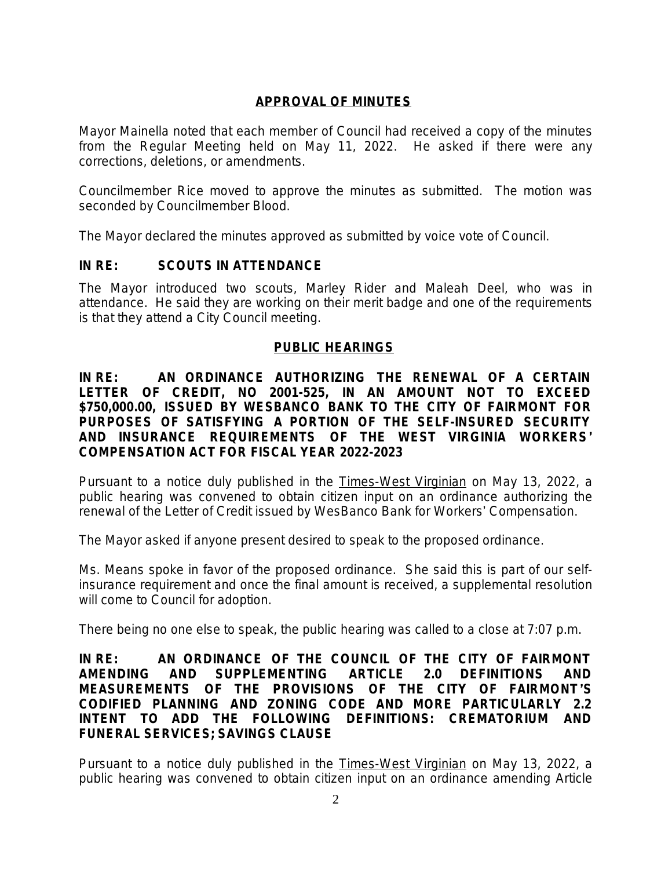# **APPROVAL OF MINUTES**

Mayor Mainella noted that each member of Council had received a copy of the minutes from the Regular Meeting held on May 11, 2022. He asked if there were any corrections, deletions, or amendments.

Councilmember Rice moved to approve the minutes as submitted. The motion was seconded by Councilmember Blood.

The Mayor declared the minutes approved as submitted by voice vote of Council.

# **IN RE: SCOUTS IN ATTENDANCE**

The Mayor introduced two scouts, Marley Rider and Maleah Deel, who was in attendance. He said they are working on their merit badge and one of the requirements is that they attend a City Council meeting.

## **PUBLIC HEARINGS**

**IN RE: AN ORDINANCE AUTHORIZING THE RENEWAL OF A CERTAIN LETTER OF CREDIT, NO 2001-525, IN AN AMOUNT NOT TO EXCEED \$750,000.00, ISSUED BY WESBANCO BANK TO THE CITY OF FAIRMONT FOR PURPOSES OF SATISFYING A PORTION OF THE SELF-INSURED SECURITY AND INSURANCE REQUIREMENTS OF THE WEST VIRGINIA WORKERS**' **COMPENSATION ACT FOR FISCAL YEAR 2022-2023**

Pursuant to a notice duly published in the Times-West Virginian on May 13, 2022, a public hearing was convened to obtain citizen input on an ordinance authorizing the renewal of the Letter of Credit issued by WesBanco Bank for Workers' Compensation.

The Mayor asked if anyone present desired to speak to the proposed ordinance.

Ms. Means spoke in favor of the proposed ordinance. She said this is part of our selfinsurance requirement and once the final amount is received, a supplemental resolution will come to Council for adoption.

There being no one else to speak, the public hearing was called to a close at 7:07 p.m.

### **IN RE: AN ORDINANCE OF THE COUNCIL OF THE CITY OF FAIRMONT AMENDING AND SUPPLEMENTING** *ARTICLE 2.0 DEFINITIONS AND MEASUREMENTS* **OF THE PROVISIONS OF THE CITY OF FAIRMONT**'**S CODIFIED PLANNING AND ZONING CODE AND MORE PARTICULARLY 2.2 INTENT TO ADD THE FOLLOWING DEFINITIONS: CREMATORIUM AND FUNERAL SERVICES; SAVINGS CLAUSE**

Pursuant to a notice duly published in the Times-West Virginian on May 13, 2022, a public hearing was convened to obtain citizen input on an ordinance amending Article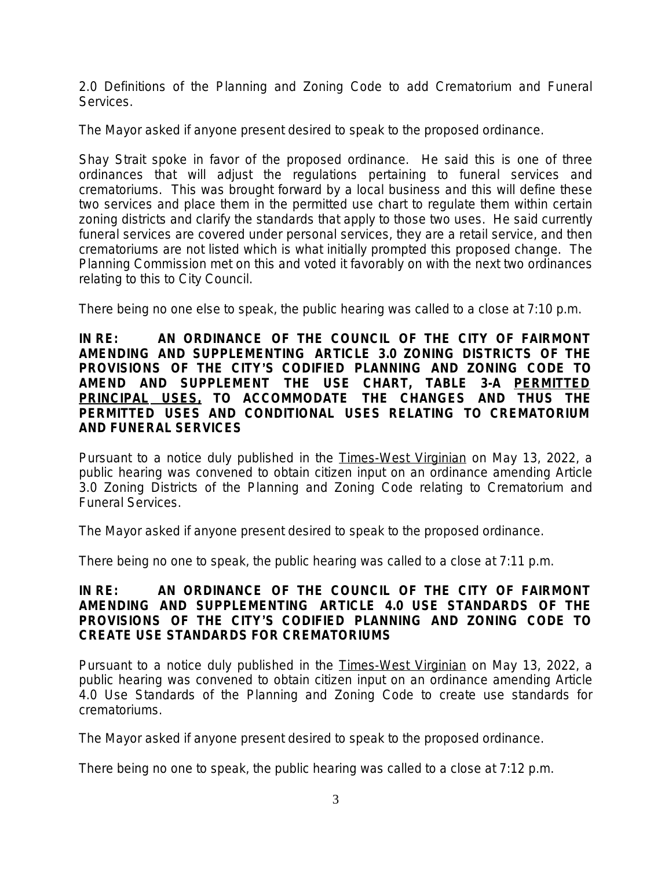2.0 Definitions of the Planning and Zoning Code to add Crematorium and Funeral Services.

The Mayor asked if anyone present desired to speak to the proposed ordinance.

Shay Strait spoke in favor of the proposed ordinance. He said this is one of three ordinances that will adjust the regulations pertaining to funeral services and crematoriums. This was brought forward by a local business and this will define these two services and place them in the permitted use chart to regulate them within certain zoning districts and clarify the standards that apply to those two uses. He said currently funeral services are covered under personal services, they are a retail service, and then crematoriums are not listed which is what initially prompted this proposed change. The Planning Commission met on this and voted it favorably on with the next two ordinances relating to this to City Council.

There being no one else to speak, the public hearing was called to a close at 7:10 p.m.

### **IN RE: AN ORDINANCE OF THE COUNCIL OF THE CITY OF FAIRMONT AMENDING AND SUPPLEMENTING** *ARTICLE 3.0 ZONING DISTRICTS* **OF THE PROVISIONS OF THE CITY**'**S CODIFIED PLANNING AND ZONING CODE TO AMEND AND SUPPLEMENT THE USE CHART, TABLE 3-A PERMITTED PRINCIPAL USES, TO ACCOMMODATE THE CHANGES AND THUS THE PERMITTED USES AND CONDITIONAL USES RELATING TO CREMATORIUM AND FUNERAL SERVICES**

Pursuant to a notice duly published in the Times-West Virginian on May 13, 2022, a public hearing was convened to obtain citizen input on an ordinance amending Article 3.0 Zoning Districts of the Planning and Zoning Code relating to Crematorium and Funeral Services.

The Mayor asked if anyone present desired to speak to the proposed ordinance.

There being no one to speak, the public hearing was called to a close at 7:11 p.m.

## **IN RE: AN ORDINANCE OF THE COUNCIL OF THE CITY OF FAIRMONT AMENDING AND SUPPLEMENTING** *ARTICLE 4.0 USE STANDARDS OF* **THE PROVISIONS OF THE CITY**'**S CODIFIED PLANNING AND ZONING CODE TO CREATE USE STANDARDS FOR CREMATORIUMS**

Pursuant to a notice duly published in the Times-West Virginian on May 13, 2022, a public hearing was convened to obtain citizen input on an ordinance amending Article 4.0 Use Standards of the Planning and Zoning Code to create use standards for crematoriums.

The Mayor asked if anyone present desired to speak to the proposed ordinance.

There being no one to speak, the public hearing was called to a close at 7:12 p.m.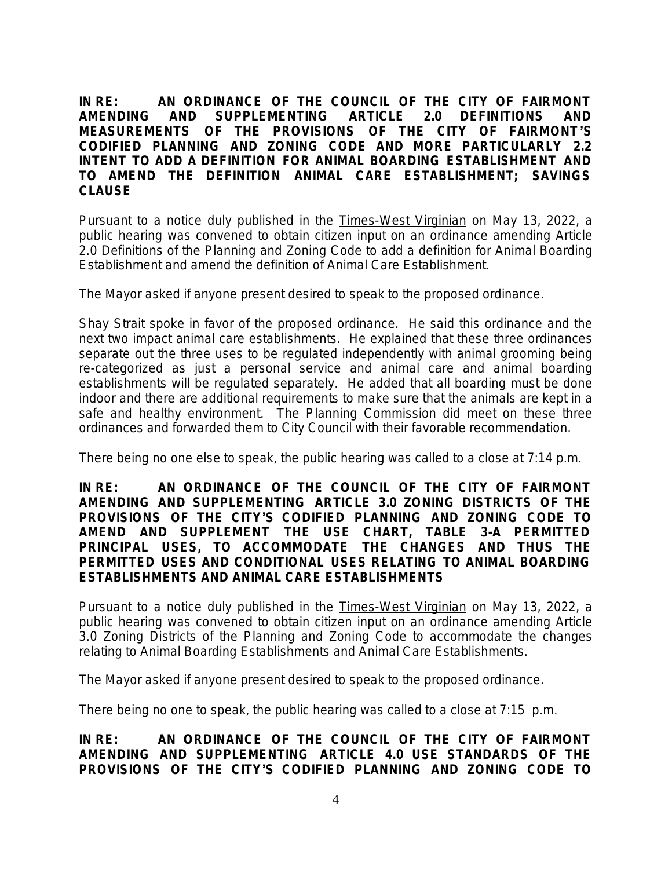**IN RE: AN ORDINANCE OF THE COUNCIL OF THE CITY OF FAIRMONT AMENDING AND SUPPLEMENTING** *ARTICLE 2.0 DEFINITIONS AND MEASUREMENTS* **OF THE PROVISIONS OF THE CITY OF FAIRMONT**'**S CODIFIED PLANNING AND ZONING CODE AND MORE PARTICULARLY 2.2 INTENT TO ADD A DEFINITION FOR ANIMAL BOARDING ESTABLISHMENT AND TO AMEND THE DEFINITION ANIMAL CARE ESTABLISHMENT; SAVINGS CLAUSE**

Pursuant to a notice duly published in the Times-West Virginian on May 13, 2022, a public hearing was convened to obtain citizen input on an ordinance amending Article 2.0 Definitions of the Planning and Zoning Code to add a definition for Animal Boarding Establishment and amend the definition of Animal Care Establishment.

The Mayor asked if anyone present desired to speak to the proposed ordinance.

Shay Strait spoke in favor of the proposed ordinance. He said this ordinance and the next two impact animal care establishments. He explained that these three ordinances separate out the three uses to be regulated independently with animal grooming being re-categorized as just a personal service and animal care and animal boarding establishments will be regulated separately. He added that all boarding must be done indoor and there are additional requirements to make sure that the animals are kept in a safe and healthy environment. The Planning Commission did meet on these three ordinances and forwarded them to City Council with their favorable recommendation.

There being no one else to speak, the public hearing was called to a close at 7:14 p.m.

**IN RE: AN ORDINANCE OF THE COUNCIL OF THE CITY OF FAIRMONT AMENDING AND SUPPLEMENTING** *ARTICLE 3.0 ZONING DISTRICTS* **OF THE PROVISIONS OF THE CITY**'**S CODIFIED PLANNING AND ZONING CODE TO AMEND AND SUPPLEMENT THE USE CHART, TABLE 3-A PERMITTED PRINCIPAL USES, TO ACCOMMODATE THE CHANGES AND THUS THE PERMITTED USES AND CONDITIONAL USES RELATING TO ANIMAL BOARDING ESTABLISHMENTS AND ANIMAL CARE ESTABLISHMENTS** 

Pursuant to a notice duly published in the Times-West Virginian on May 13, 2022, a public hearing was convened to obtain citizen input on an ordinance amending Article 3.0 Zoning Districts of the Planning and Zoning Code to accommodate the changes relating to Animal Boarding Establishments and Animal Care Establishments.

The Mayor asked if anyone present desired to speak to the proposed ordinance.

There being no one to speak, the public hearing was called to a close at 7:15 p.m.

**IN RE: AN ORDINANCE OF THE COUNCIL OF THE CITY OF FAIRMONT AMENDING AND SUPPLEMENTING** *ARTICLE 4.0 USE STANDARDS OF* **THE PROVISIONS OF THE CITY**'**S CODIFIED PLANNING AND ZONING CODE TO**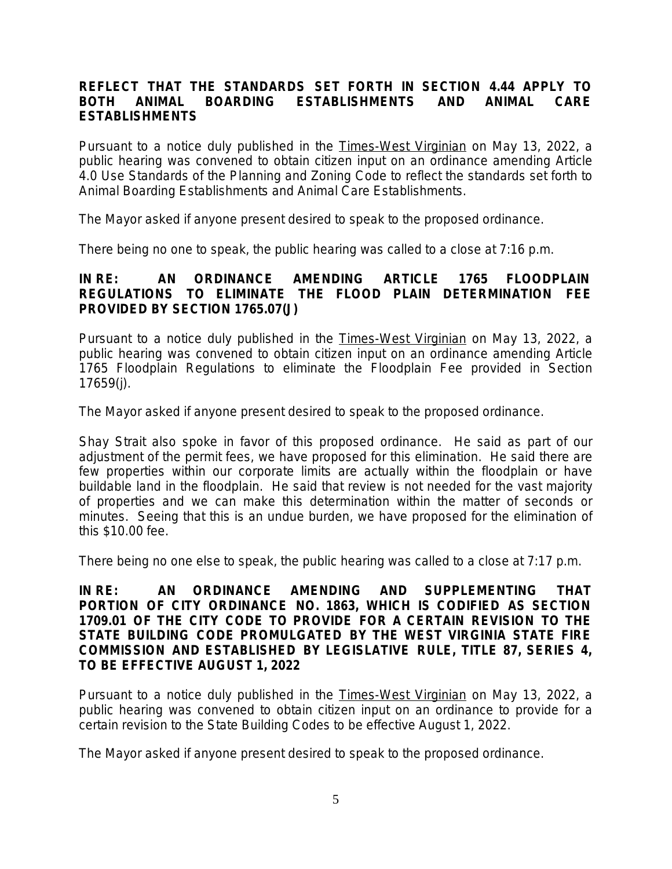## **REFLECT THAT THE STANDARDS SET FORTH IN SECTION 4.44 APPLY TO BOTH ANIMAL BOARDING ESTABLISHMENTS AND ANIMAL CARE ESTABLISHMENTS**

Pursuant to a notice duly published in the Times-West Virginian on May 13, 2022, a public hearing was convened to obtain citizen input on an ordinance amending Article 4.0 Use Standards of the Planning and Zoning Code to reflect the standards set forth to Animal Boarding Establishments and Animal Care Establishments.

The Mayor asked if anyone present desired to speak to the proposed ordinance.

There being no one to speak, the public hearing was called to a close at 7:16 p.m.

## **IN RE: AN ORDINANCE AMENDING ARTICLE 1765** *FLOODPLAIN REGULATIONS* **TO ELIMINATE THE FLOOD PLAIN DETERMINATION FEE PROVIDED BY SECTION 1765.07(J)**

Pursuant to a notice duly published in the Times-West Virginian on May 13, 2022, a public hearing was convened to obtain citizen input on an ordinance amending Article 1765 Floodplain Regulations to eliminate the Floodplain Fee provided in Section 17659(j).

The Mayor asked if anyone present desired to speak to the proposed ordinance.

Shay Strait also spoke in favor of this proposed ordinance. He said as part of our adjustment of the permit fees, we have proposed for this elimination. He said there are few properties within our corporate limits are actually within the floodplain or have buildable land in the floodplain. He said that review is not needed for the vast majority of properties and we can make this determination within the matter of seconds or minutes. Seeing that this is an undue burden, we have proposed for the elimination of this \$10.00 fee.

There being no one else to speak, the public hearing was called to a close at 7:17 p.m.

#### **IN RE: AN ORDINANCE AMENDING AND SUPPLEMENTING THAT PORTION OF CITY ORDINANCE NO. 1863, WHICH IS CODIFIED AS SECTION 1709.01 OF THE CITY CODE TO PROVIDE FOR A CERTAIN REVISION TO THE STATE BUILDING CODE PROMULGATED BY THE WEST VIRGINIA STATE FIRE COMMISSION AND ESTABLISHED BY LEGISLATIVE RULE, TITLE 87, SERIES 4, TO BE EFFECTIVE AUGUST 1, 2022**

Pursuant to a notice duly published in the Times-West Virginian on May 13, 2022, a public hearing was convened to obtain citizen input on an ordinance to provide for a certain revision to the State Building Codes to be effective August 1, 2022.

The Mayor asked if anyone present desired to speak to the proposed ordinance.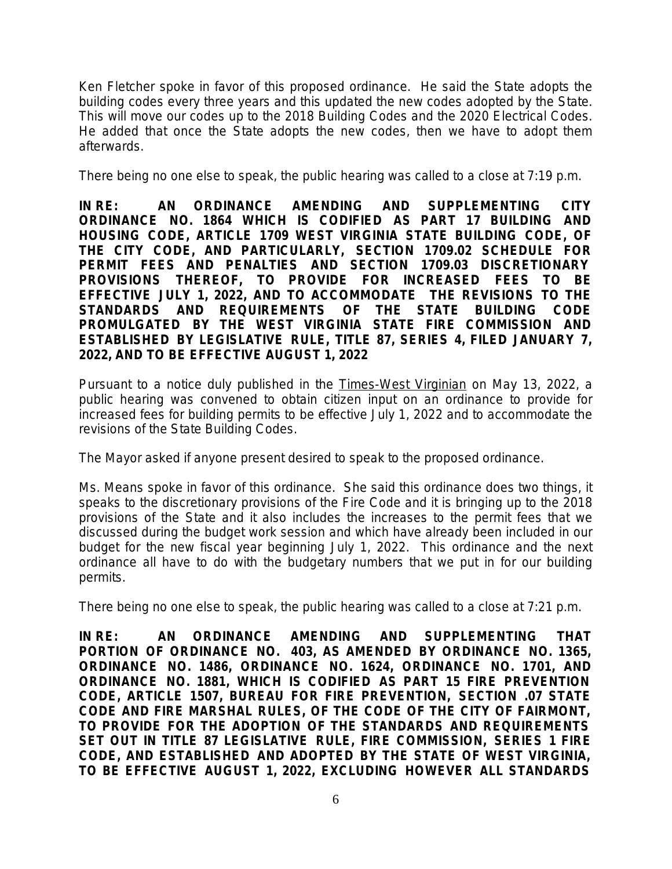Ken Fletcher spoke in favor of this proposed ordinance. He said the State adopts the building codes every three years and this updated the new codes adopted by the State. This will move our codes up to the 2018 Building Codes and the 2020 Electrical Codes. He added that once the State adopts the new codes, then we have to adopt them afterwards.

There being no one else to speak, the public hearing was called to a close at 7:19 p.m.

**IN RE: AN ORDINANCE AMENDING AND SUPPLEMENTING CITY ORDINANCE NO. 1864 WHICH IS CODIFIED AS PART 17 BUILDING AND HOUSING CODE, ARTICLE 1709 WEST VIRGINIA STATE BUILDING CODE, OF THE CITY CODE, AND PARTICULARLY, SECTION 1709.02 SCHEDULE FOR PERMIT FEES AND PENALTIES AND SECTION 1709.03 DISCRETIONARY PROVISIONS THEREOF, TO PROVIDE FOR INCREASED FEES TO BE EFFECTIVE JULY 1, 2022, AND TO ACCOMMODATE THE REVISIONS TO THE STANDARDS AND REQUIREMENTS OF THE STATE BUILDING CODE PROMULGATED BY THE WEST VIRGINIA STATE FIRE COMMISSION AND ESTABLISHED BY LEGISLATIVE RULE, TITLE 87, SERIES 4, FILED JANUARY 7, 2022, AND TO BE EFFECTIVE AUGUST 1, 2022**

Pursuant to a notice duly published in the Times-West Virginian on May 13, 2022, a public hearing was convened to obtain citizen input on an ordinance to provide for increased fees for building permits to be effective July 1, 2022 and to accommodate the revisions of the State Building Codes.

The Mayor asked if anyone present desired to speak to the proposed ordinance.

Ms. Means spoke in favor of this ordinance. She said this ordinance does two things, it speaks to the discretionary provisions of the Fire Code and it is bringing up to the 2018 provisions of the State and it also includes the increases to the permit fees that we discussed during the budget work session and which have already been included in our budget for the new fiscal year beginning July 1, 2022. This ordinance and the next ordinance all have to do with the budgetary numbers that we put in for our building permits.

There being no one else to speak, the public hearing was called to a close at 7:21 p.m.

**IN RE: AN ORDINANCE AMENDING AND SUPPLEMENTING THAT PORTION OF ORDINANCE NO. 403, AS AMENDED BY ORDINANCE NO. 1365, ORDINANCE NO. 1486, ORDINANCE NO. 1624, ORDINANCE NO. 1701, AND ORDINANCE NO. 1881, WHICH IS CODIFIED AS PART 15 FIRE PREVENTION CODE, ARTICLE 1507, BUREAU FOR FIRE PREVENTION, SECTION .07 STATE CODE AND FIRE MARSHAL RULES, OF THE CODE OF THE CITY OF FAIRMONT, TO PROVIDE FOR THE ADOPTION OF THE STANDARDS AND REQUIREMENTS SET OUT IN TITLE 87 LEGISLATIVE RULE, FIRE COMMISSION, SERIES 1 FIRE CODE, AND ESTABLISHED AND ADOPTED BY THE STATE OF WEST VIRGINIA, TO BE EFFECTIVE AUGUST 1, 2022, EXCLUDING HOWEVER ALL STANDARDS**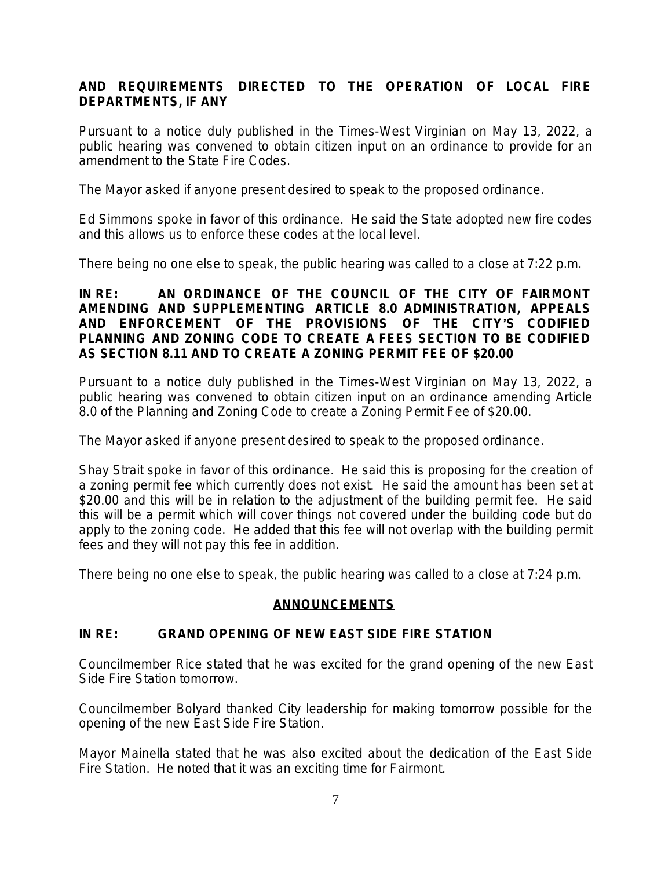# **AND REQUIREMENTS DIRECTED TO THE OPERATION OF LOCAL FIRE DEPARTMENTS, IF ANY**

Pursuant to a notice duly published in the Times-West Virginian on May 13, 2022, a public hearing was convened to obtain citizen input on an ordinance to provide for an amendment to the State Fire Codes.

The Mayor asked if anyone present desired to speak to the proposed ordinance.

Ed Simmons spoke in favor of this ordinance. He said the State adopted new fire codes and this allows us to enforce these codes at the local level.

There being no one else to speak, the public hearing was called to a close at 7:22 p.m.

### **IN RE: AN ORDINANCE OF THE COUNCIL OF THE CITY OF FAIRMONT AMENDING AND SUPPLEMENTING** *ARTICLE 8.0 ADMINISTRATION, APPEALS AND ENFORCEMENT* **OF THE PROVISIONS OF THE CITY**'**S CODIFIED PLANNING AND ZONING CODE TO CREATE A FEES SECTION TO BE CODIFIED AS SECTION 8.11 AND TO CREATE A ZONING PERMIT FEE OF \$20.00**

Pursuant to a notice duly published in the Times-West Virginian on May 13, 2022, a public hearing was convened to obtain citizen input on an ordinance amending Article 8.0 of the Planning and Zoning Code to create a Zoning Permit Fee of \$20.00.

The Mayor asked if anyone present desired to speak to the proposed ordinance.

Shay Strait spoke in favor of this ordinance. He said this is proposing for the creation of a zoning permit fee which currently does not exist. He said the amount has been set at \$20.00 and this will be in relation to the adjustment of the building permit fee. He said this will be a permit which will cover things not covered under the building code but do apply to the zoning code. He added that this fee will not overlap with the building permit fees and they will not pay this fee in addition.

There being no one else to speak, the public hearing was called to a close at 7:24 p.m.

## **ANNOUNCEMENTS**

## **IN RE: GRAND OPENING OF NEW EAST SIDE FIRE STATION**

Councilmember Rice stated that he was excited for the grand opening of the new East Side Fire Station tomorrow.

Councilmember Bolyard thanked City leadership for making tomorrow possible for the opening of the new East Side Fire Station.

Mayor Mainella stated that he was also excited about the dedication of the East Side Fire Station. He noted that it was an exciting time for Fairmont.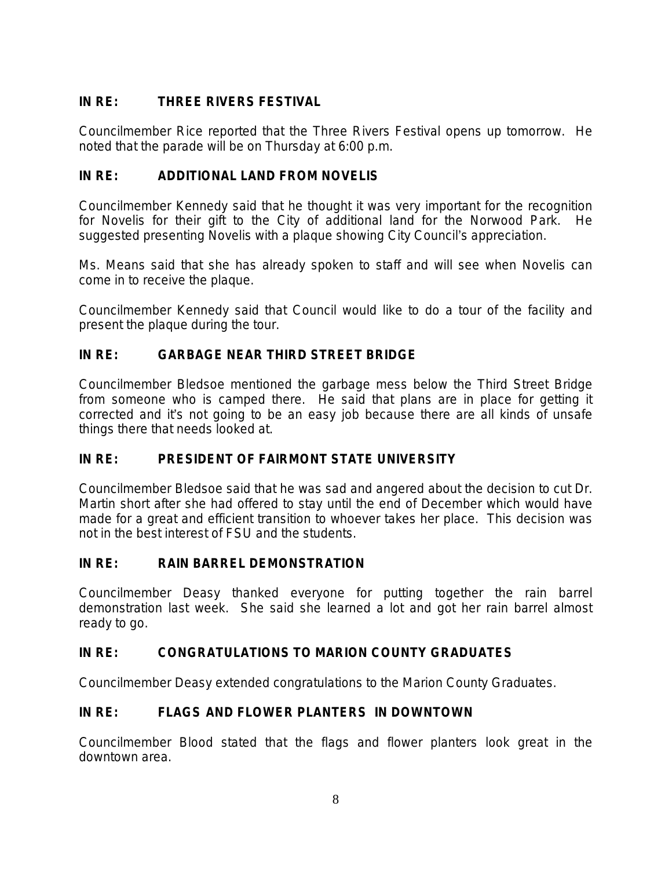# **IN RE: THREE RIVERS FESTIVAL**

Councilmember Rice reported that the Three Rivers Festival opens up tomorrow. He noted that the parade will be on Thursday at 6:00 p.m.

# **IN RE: ADDITIONAL LAND FROM NOVELIS**

Councilmember Kennedy said that he thought it was very important for the recognition for Novelis for their gift to the City of additional land for the Norwood Park. He suggested presenting Novelis with a plaque showing City Council's appreciation.

Ms. Means said that she has already spoken to staff and will see when Novelis can come in to receive the plaque.

Councilmember Kennedy said that Council would like to do a tour of the facility and present the plaque during the tour.

# **IN RE: GARBAGE NEAR THIRD STREET BRIDGE**

Councilmember Bledsoe mentioned the garbage mess below the Third Street Bridge from someone who is camped there. He said that plans are in place for getting it corrected and it's not going to be an easy job because there are all kinds of unsafe things there that needs looked at.

# **IN RE: PRESIDENT OF FAIRMONT STATE UNIVERSITY**

Councilmember Bledsoe said that he was sad and angered about the decision to cut Dr. Martin short after she had offered to stay until the end of December which would have made for a great and efficient transition to whoever takes her place. This decision was not in the best interest of FSU and the students.

# **IN RE: RAIN BARREL DEMONSTRATION**

Councilmember Deasy thanked everyone for putting together the rain barrel demonstration last week. She said she learned a lot and got her rain barrel almost ready to go.

# **IN RE: CONGRATULATIONS TO MARION COUNTY GRADUATES**

Councilmember Deasy extended congratulations to the Marion County Graduates.

# **IN RE: FLAGS AND FLOWER PLANTERS IN DOWNTOWN**

Councilmember Blood stated that the flags and flower planters look great in the downtown area.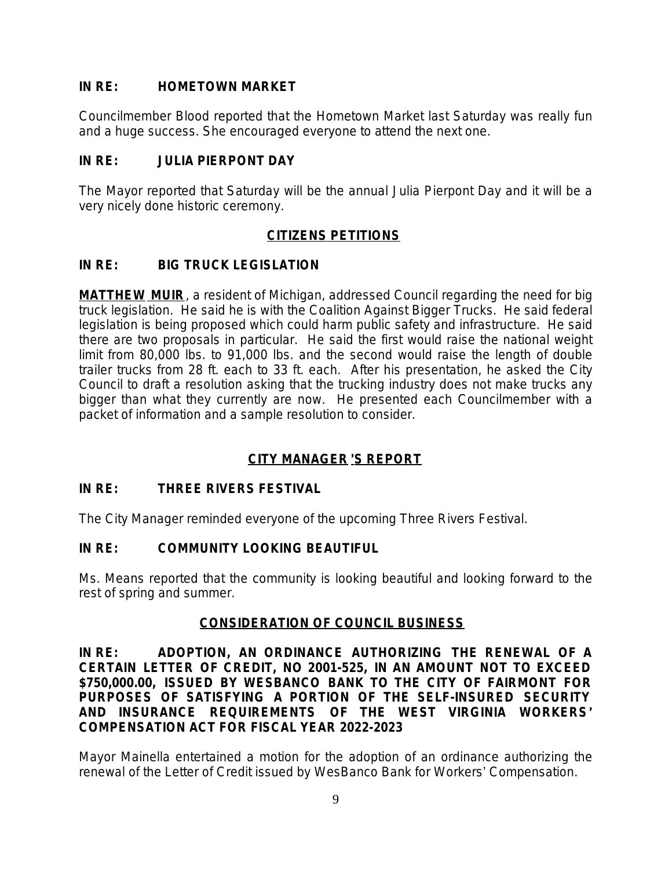# **IN RE: HOMETOWN MARKET**

Councilmember Blood reported that the Hometown Market last Saturday was really fun and a huge success. She encouraged everyone to attend the next one.

# **IN RE: JULIA PIERPONT DAY**

The Mayor reported that Saturday will be the annual Julia Pierpont Day and it will be a very nicely done historic ceremony.

# **CITIZENS PETITIONS**

# **IN RE: BIG TRUCK LEGISLATION**

**MATTHEW MUIR**, a resident of Michigan, addressed Council regarding the need for big truck legislation. He said he is with the Coalition Against Bigger Trucks. He said federal legislation is being proposed which could harm public safety and infrastructure. He said there are two proposals in particular. He said the first would raise the national weight limit from 80,000 lbs. to 91,000 lbs. and the second would raise the length of double trailer trucks from 28 ft. each to 33 ft. each. After his presentation, he asked the City Council to draft a resolution asking that the trucking industry does not make trucks any bigger than what they currently are now. He presented each Councilmember with a packet of information and a sample resolution to consider.

# **CITY MANAGER** '**S REPORT**

## **IN RE: THREE RIVERS FESTIVAL**

The City Manager reminded everyone of the upcoming Three Rivers Festival.

## **IN RE: COMMUNITY LOOKING BEAUTIFUL**

Ms. Means reported that the community is looking beautiful and looking forward to the rest of spring and summer.

## **CONSIDERATION OF COUNCIL BUSINESS**

**IN RE: ADOPTION, AN ORDINANCE AUTHORIZING THE RENEWAL OF A CERTAIN LETTER OF CREDIT, NO 2001-525, IN AN AMOUNT NOT TO EXCEED \$750,000.00, ISSUED BY WESBANCO BANK TO THE CITY OF FAIRMONT FOR PURPOSES OF SATISFYING A PORTION OF THE SELF-INSURED SECURITY AND INSURANCE REQUIREMENTS OF THE WEST VIRGINIA WORKERS**' **COMPENSATION ACT FOR FISCAL YEAR 2022-2023**

Mayor Mainella entertained a motion for the adoption of an ordinance authorizing the renewal of the Letter of Credit issued by WesBanco Bank for Workers' Compensation.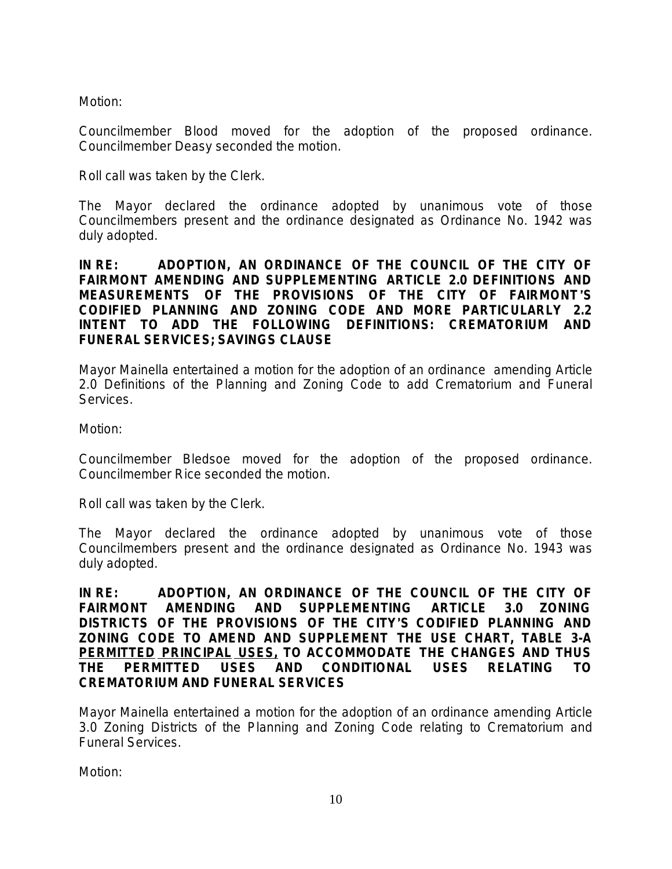Motion:

Councilmember Blood moved for the adoption of the proposed ordinance. Councilmember Deasy seconded the motion.

Roll call was taken by the Clerk.

The Mayor declared the ordinance adopted by unanimous vote of those Councilmembers present and the ordinance designated as Ordinance No. 1942 was duly adopted.

**IN RE: ADOPTION, AN ORDINANCE OF THE COUNCIL OF THE CITY OF FAIRMONT AMENDING AND SUPPLEMENTING** *ARTICLE 2.0 DEFINITIONS AND MEASUREMENTS* **OF THE PROVISIONS OF THE CITY OF FAIRMONT**'**S CODIFIED PLANNING AND ZONING CODE AND MORE PARTICULARLY 2.2 INTENT TO ADD THE FOLLOWING DEFINITIONS: CREMATORIUM AND FUNERAL SERVICES; SAVINGS CLAUSE**

Mayor Mainella entertained a motion for the adoption of an ordinance amending Article 2.0 Definitions of the Planning and Zoning Code to add Crematorium and Funeral Services.

Motion:

Councilmember Bledsoe moved for the adoption of the proposed ordinance. Councilmember Rice seconded the motion.

Roll call was taken by the Clerk.

The Mayor declared the ordinance adopted by unanimous vote of those Councilmembers present and the ordinance designated as Ordinance No. 1943 was duly adopted.

**IN RE: ADOPTION, AN ORDINANCE OF THE COUNCIL OF THE CITY OF FAIRMONT AMENDING AND SUPPLEMENTING** *ARTICLE 3.0 ZONING DISTRICTS* **OF THE PROVISIONS OF THE CITY**'**S CODIFIED PLANNING AND ZONING CODE TO AMEND AND SUPPLEMENT THE USE CHART, TABLE 3-A PERMITTED PRINCIPAL USES, TO ACCOMMODATE THE CHANGES AND THUS THE PERMITTED USES AND CONDITIONAL USES RELATING TO CREMATORIUM AND FUNERAL SERVICES**

Mayor Mainella entertained a motion for the adoption of an ordinance amending Article 3.0 Zoning Districts of the Planning and Zoning Code relating to Crematorium and Funeral Services.

Motion: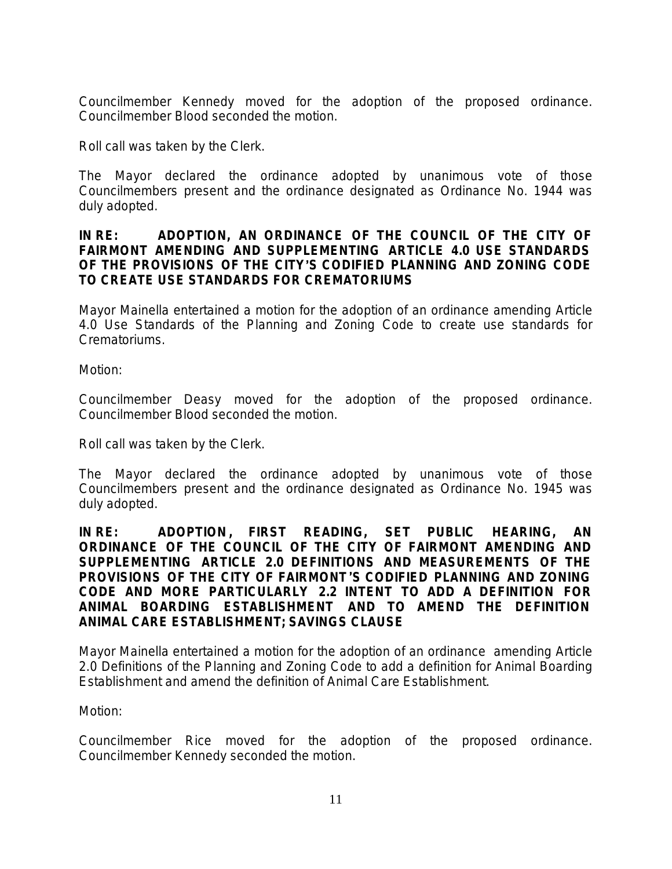Councilmember Kennedy moved for the adoption of the proposed ordinance. Councilmember Blood seconded the motion.

Roll call was taken by the Clerk.

The Mayor declared the ordinance adopted by unanimous vote of those Councilmembers present and the ordinance designated as Ordinance No. 1944 was duly adopted.

### **IN RE: ADOPTION, AN ORDINANCE OF THE COUNCIL OF THE CITY OF FAIRMONT AMENDING AND SUPPLEMENTING** *ARTICLE 4.0 USE STANDARDS OF* **THE PROVISIONS OF THE CITY**'**S CODIFIED PLANNING AND ZONING CODE TO CREATE USE STANDARDS FOR CREMATORIUMS**

Mayor Mainella entertained a motion for the adoption of an ordinance amending Article 4.0 Use Standards of the Planning and Zoning Code to create use standards for Crematoriums.

Motion:

Councilmember Deasy moved for the adoption of the proposed ordinance. Councilmember Blood seconded the motion.

Roll call was taken by the Clerk.

The Mayor declared the ordinance adopted by unanimous vote of those Councilmembers present and the ordinance designated as Ordinance No. 1945 was duly adopted.

**IN RE: ADOPTION , FIRST READING, SET PUBLIC HEARING, AN ORDINANCE OF THE COUNCIL OF THE CITY OF FAIRMONT AMENDING AND SUPPLEMENTING** *ARTICLE 2.0 DEFINITIONS AND MEASUREMENTS* **OF THE PROVISIONS OF THE CITY OF FAIRMONT**'**S CODIFIED PLANNING AND ZONING CODE AND MORE PARTICULARLY 2.2 INTENT TO ADD A DEFINITION FOR ANIMAL BOARDING ESTABLISHMENT AND TO AMEND THE DEFINITION ANIMAL CARE ESTABLISHMENT; SAVINGS CLAUSE**

Mayor Mainella entertained a motion for the adoption of an ordinance amending Article 2.0 Definitions of the Planning and Zoning Code to add a definition for Animal Boarding Establishment and amend the definition of Animal Care Establishment.

Motion:

Councilmember Rice moved for the adoption of the proposed ordinance. Councilmember Kennedy seconded the motion.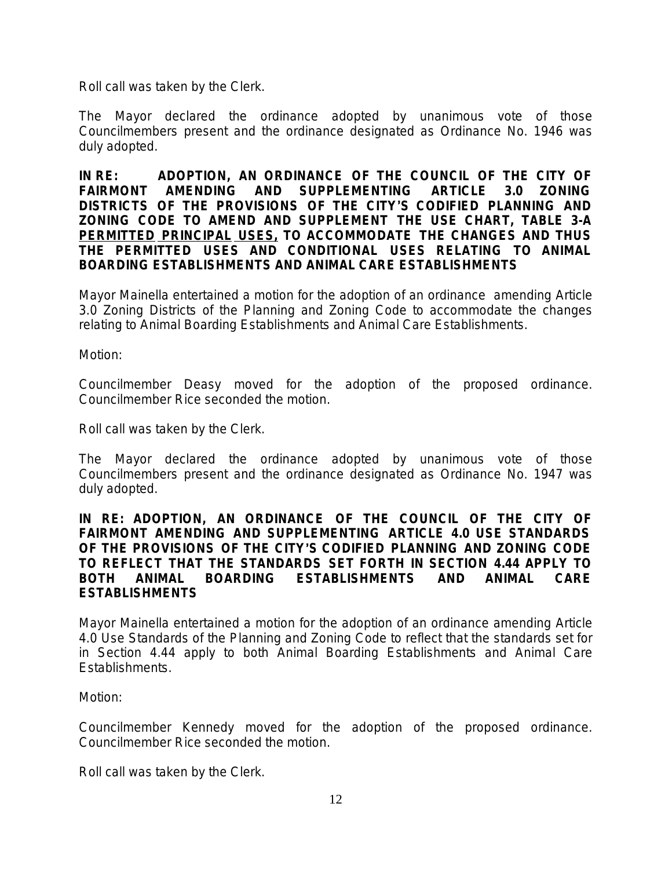Roll call was taken by the Clerk.

The Mayor declared the ordinance adopted by unanimous vote of those Councilmembers present and the ordinance designated as Ordinance No. 1946 was duly adopted.

**IN RE: ADOPTION, AN ORDINANCE OF THE COUNCIL OF THE CITY OF FAIRMONT AMENDING AND SUPPLEMENTING** *ARTICLE 3.0 ZONING DISTRICTS* **OF THE PROVISIONS OF THE CITY**'**S CODIFIED PLANNING AND ZONING CODE TO AMEND AND SUPPLEMENT THE USE CHART, TABLE 3-A PERMITTED PRINCIPAL USES, TO ACCOMMODATE THE CHANGES AND THUS THE PERMITTED USES AND CONDITIONAL USES RELATING TO ANIMAL BOARDING ESTABLISHMENTS AND ANIMAL CARE ESTABLISHMENTS**

Mayor Mainella entertained a motion for the adoption of an ordinance amending Article 3.0 Zoning Districts of the Planning and Zoning Code to accommodate the changes relating to Animal Boarding Establishments and Animal Care Establishments.

Motion:

Councilmember Deasy moved for the adoption of the proposed ordinance. Councilmember Rice seconded the motion.

Roll call was taken by the Clerk.

The Mayor declared the ordinance adopted by unanimous vote of those Councilmembers present and the ordinance designated as Ordinance No. 1947 was duly adopted.

#### **IN RE: ADOPTION, AN ORDINANCE OF THE COUNCIL OF THE CITY OF FAIRMONT AMENDING AND SUPPLEMENTING** *ARTICLE 4.0 USE STANDARDS OF* **THE PROVISIONS OF THE CITY**'**S CODIFIED PLANNING AND ZONING CODE TO REFLECT THAT THE STANDARDS SET FORTH IN SECTION 4.44 APPLY TO BOTH ANIMAL BOARDING ESTABLISHMENTS AND ANIMAL CARE ESTABLISHMENTS**

Mayor Mainella entertained a motion for the adoption of an ordinance amending Article 4.0 Use Standards of the Planning and Zoning Code to reflect that the standards set for in Section 4.44 apply to both Animal Boarding Establishments and Animal Care Establishments.

#### Motion:

Councilmember Kennedy moved for the adoption of the proposed ordinance. Councilmember Rice seconded the motion.

Roll call was taken by the Clerk.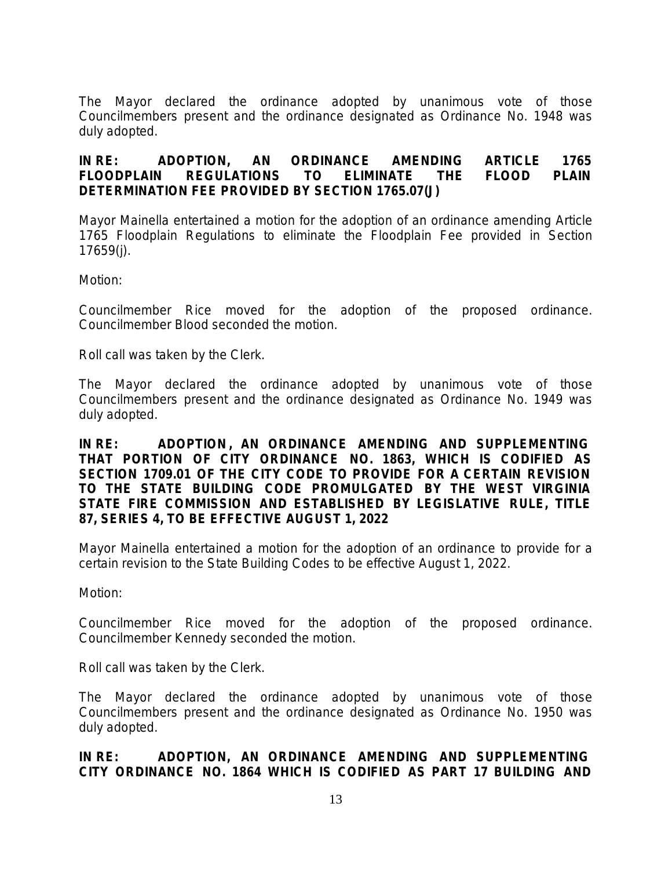The Mayor declared the ordinance adopted by unanimous vote of those Councilmembers present and the ordinance designated as Ordinance No. 1948 was duly adopted.

# **IN RE: ADOPTION, AN ORDINANCE AMENDING ARTICLE 1765** *FLOODPLAIN REGULATIONS* **TO ELIMINATE THE FLOOD PLAIN DETERMINATION FEE PROVIDED BY SECTION 1765.07(J)**

Mayor Mainella entertained a motion for the adoption of an ordinance amending Article 1765 Floodplain Regulations to eliminate the Floodplain Fee provided in Section 17659(j).

Motion:

Councilmember Rice moved for the adoption of the proposed ordinance. Councilmember Blood seconded the motion.

Roll call was taken by the Clerk.

The Mayor declared the ordinance adopted by unanimous vote of those Councilmembers present and the ordinance designated as Ordinance No. 1949 was duly adopted.

**IN RE: ADOPTION , AN ORDINANCE AMENDING AND SUPPLEMENTING THAT PORTION OF CITY ORDINANCE NO. 1863, WHICH IS CODIFIED AS SECTION 1709.01 OF THE CITY CODE TO PROVIDE FOR A CERTAIN REVISION TO THE STATE BUILDING CODE PROMULGATED BY THE WEST VIRGINIA STATE FIRE COMMISSION AND ESTABLISHED BY LEGISLATIVE RULE, TITLE 87, SERIES 4, TO BE EFFECTIVE AUGUST 1, 2022** 

Mayor Mainella entertained a motion for the adoption of an ordinance to provide for a certain revision to the State Building Codes to be effective August 1, 2022.

Motion:

Councilmember Rice moved for the adoption of the proposed ordinance. Councilmember Kennedy seconded the motion.

Roll call was taken by the Clerk.

The Mayor declared the ordinance adopted by unanimous vote of those Councilmembers present and the ordinance designated as Ordinance No. 1950 was duly adopted.

## **IN RE: ADOPTION, AN ORDINANCE AMENDING AND SUPPLEMENTING CITY ORDINANCE NO. 1864 WHICH IS CODIFIED AS PART 17 BUILDING AND**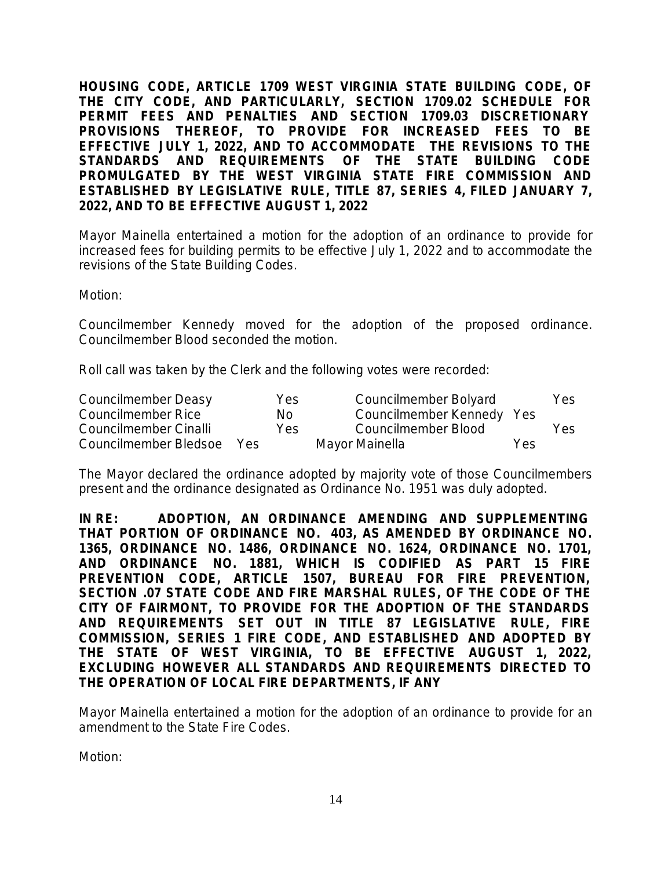**HOUSING CODE, ARTICLE 1709 WEST VIRGINIA STATE BUILDING CODE, OF THE CITY CODE, AND PARTICULARLY, SECTION 1709.02 SCHEDULE FOR PERMIT FEES AND PENALTIES AND SECTION 1709.03 DISCRETIONARY PROVISIONS THEREOF, TO PROVIDE FOR INCREASED FEES TO BE EFFECTIVE JULY 1, 2022, AND TO ACCOMMODATE THE REVISIONS TO THE STANDARDS AND REQUIREMENTS OF THE STATE BUILDING CODE PROMULGATED BY THE WEST VIRGINIA STATE FIRE COMMISSION AND ESTABLISHED BY LEGISLATIVE RULE, TITLE 87, SERIES 4, FILED JANUARY 7, 2022, AND TO BE EFFECTIVE AUGUST 1, 2022** 

Mayor Mainella entertained a motion for the adoption of an ordinance to provide for increased fees for building permits to be effective July 1, 2022 and to accommodate the revisions of the State Building Codes.

Motion:

Councilmember Kennedy moved for the adoption of the proposed ordinance. Councilmember Blood seconded the motion.

Roll call was taken by the Clerk and the following votes were recorded:

| Councilmember Deasy   |      | Yes  | Councilmember Bolyard     |     | Yes |
|-----------------------|------|------|---------------------------|-----|-----|
| Councilmember Rice    |      | No.  | Councilmember Kennedy Yes |     |     |
| Councilmember Cinalli |      | Yes. | Councilmember Blood       |     | Yes |
| Councilmember Bledsoe | Yes. |      | Mayor Mainella            | Yes |     |

The Mayor declared the ordinance adopted by majority vote of those Councilmembers present and the ordinance designated as Ordinance No. 1951 was duly adopted.

**IN RE: ADOPTION, AN ORDINANCE AMENDING AND SUPPLEMENTING THAT PORTION OF ORDINANCE NO. 403, AS AMENDED BY ORDINANCE NO. 1365, ORDINANCE NO. 1486, ORDINANCE NO. 1624, ORDINANCE NO. 1701, AND ORDINANCE NO. 1881, WHICH IS CODIFIED AS PART 15 FIRE PREVENTION CODE, ARTICLE 1507, BUREAU FOR FIRE PREVENTION, SECTION .07 STATE CODE AND FIRE MARSHAL RULES, OF THE CODE OF THE CITY OF FAIRMONT, TO PROVIDE FOR THE ADOPTION OF THE STANDARDS AND REQUIREMENTS SET OUT IN TITLE 87 LEGISLATIVE RULE, FIRE COMMISSION, SERIES 1 FIRE CODE, AND ESTABLISHED AND ADOPTED BY THE STATE OF WEST VIRGINIA, TO BE EFFECTIVE AUGUST 1, 2022, EXCLUDING HOWEVER ALL STANDARDS AND REQUIREMENTS DIRECTED TO THE OPERATION OF LOCAL FIRE DEPARTMENTS, IF ANY**

Mayor Mainella entertained a motion for the adoption of an ordinance to provide for an amendment to the State Fire Codes.

Motion: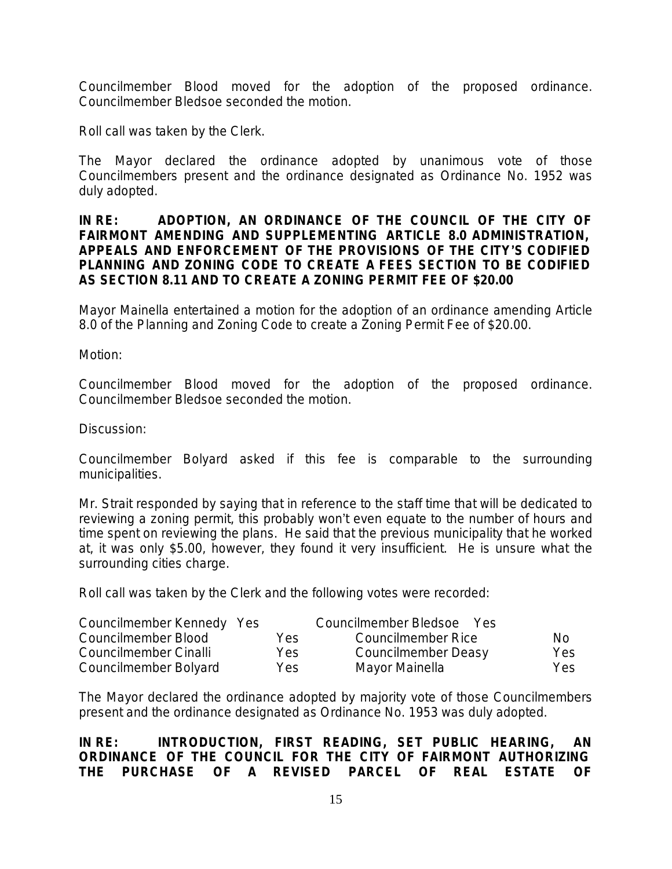Councilmember Blood moved for the adoption of the proposed ordinance. Councilmember Bledsoe seconded the motion.

Roll call was taken by the Clerk.

The Mayor declared the ordinance adopted by unanimous vote of those Councilmembers present and the ordinance designated as Ordinance No. 1952 was duly adopted.

#### **IN RE: ADOPTION, AN ORDINANCE OF THE COUNCIL OF THE CITY OF FAIRMONT AMENDING AND SUPPLEMENTING** *ARTICLE 8.0 ADMINISTRATION, APPEALS AND ENFORCEMENT* **OF THE PROVISIONS OF THE CITY**'**S CODIFIED PLANNING AND ZONING CODE TO CREATE A FEES SECTION TO BE CODIFIED AS SECTION 8.11 AND TO CREATE A ZONING PERMIT FEE OF \$20.00**

Mayor Mainella entertained a motion for the adoption of an ordinance amending Article 8.0 of the Planning and Zoning Code to create a Zoning Permit Fee of \$20.00.

Motion:

Councilmember Blood moved for the adoption of the proposed ordinance. Councilmember Bledsoe seconded the motion.

Discussion:

Councilmember Bolyard asked if this fee is comparable to the surrounding municipalities.

Mr. Strait responded by saying that in reference to the staff time that will be dedicated to reviewing a zoning permit, this probably won't even equate to the number of hours and time spent on reviewing the plans. He said that the previous municipality that he worked at, it was only \$5.00, however, they found it very insufficient. He is unsure what the surrounding cities charge.

Roll call was taken by the Clerk and the following votes were recorded:

| Councilmember Kennedy Yes |      | Councilmember Bledsoe<br>Yes |      |
|---------------------------|------|------------------------------|------|
| Councilmember Blood       | Yes. | Councilmember Rice           | No.  |
| Councilmember Cinalli     | Yes. | Councilmember Deasy          | Yes  |
| Councilmember Bolyard     | Yes. | Mayor Mainella               | Yes. |

The Mayor declared the ordinance adopted by majority vote of those Councilmembers present and the ordinance designated as Ordinance No. 1953 was duly adopted.

### **IN RE: INTRODUCTION, FIRST READING, SET PUBLIC HEARING, AN ORDINANCE OF THE COUNCIL FOR THE CITY OF FAIRMONT AUTHORIZING THE PURCHASE OF A REVISED PARCEL OF REAL ESTATE OF**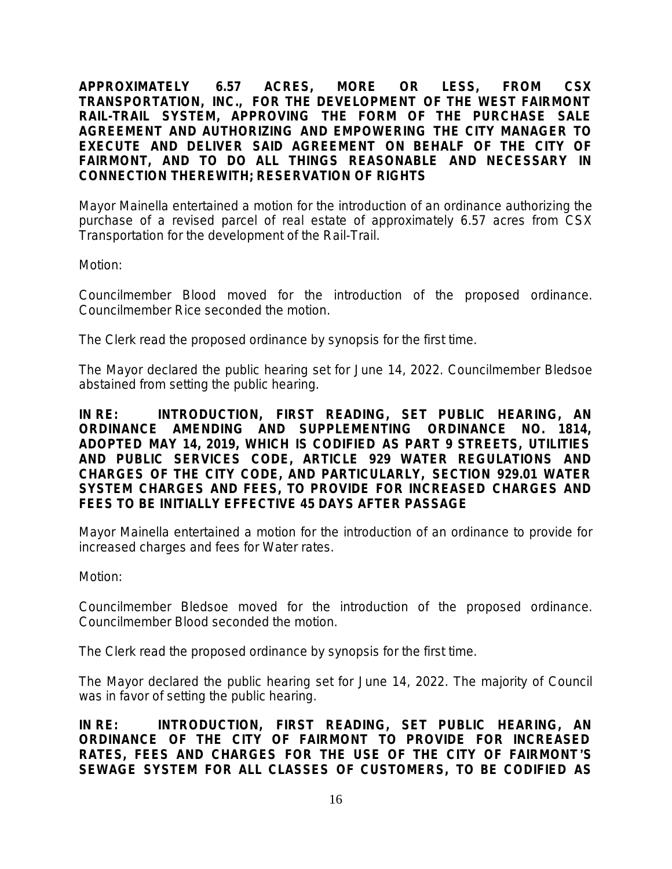**APPROXIMATELY 6.57 ACRES, MORE OR LESS, FROM CSX TRANSPORTATION, INC., FOR THE DEVELOPMENT OF THE WEST FAIRMONT RAIL-TRAIL SYSTEM, APPROVING THE FORM OF THE PURCHASE SALE AGREEMENT AND AUTHORIZING AND EMPOWERING THE CITY MANAGER TO EXECUTE AND DELIVER SAID AGREEMENT ON BEHALF OF THE CITY OF FAIRMONT, AND TO DO ALL THINGS REASONABLE AND NECESSARY IN CONNECTION THEREWITH; RESERVATION OF RIGHTS**

Mayor Mainella entertained a motion for the introduction of an ordinance authorizing the purchase of a revised parcel of real estate of approximately 6.57 acres from CSX Transportation for the development of the Rail-Trail.

Motion:

Councilmember Blood moved for the introduction of the proposed ordinance. Councilmember Rice seconded the motion.

The Clerk read the proposed ordinance by synopsis for the first time.

The Mayor declared the public hearing set for June 14, 2022. Councilmember Bledsoe abstained from setting the public hearing.

**IN RE: INTRODUCTION, FIRST READING, SET PUBLIC HEARING, AN ORDINANCE AMENDING AND SUPPLEMENTING ORDINANCE NO. 1814, ADOPTED MAY 14, 2019, WHICH IS CODIFIED AS PART 9 STREETS, UTILITIES AND PUBLIC SERVICES CODE, ARTICLE 929 WATER REGULATIONS AND CHARGES OF THE CITY CODE, AND PARTICULARLY, SECTION 929.01 WATER SYSTEM CHARGES AND FEES, TO PROVIDE FOR INCREASED CHARGES AND FEES TO BE INITIALLY EFFECTIVE 45 DAYS AFTER PASSAGE**

Mayor Mainella entertained a motion for the introduction of an ordinance to provide for increased charges and fees for Water rates.

Motion:

Councilmember Bledsoe moved for the introduction of the proposed ordinance. Councilmember Blood seconded the motion.

The Clerk read the proposed ordinance by synopsis for the first time.

The Mayor declared the public hearing set for June 14, 2022. The majority of Council was in favor of setting the public hearing.

**IN RE: INTRODUCTION, FIRST READING, SET PUBLIC HEARING, AN ORDINANCE OF THE CITY OF FAIRMONT TO PROVIDE FOR INCREASED RATES, FEES AND CHARGES FOR THE USE OF THE CITY OF FAIRMONT**'**S SEWAGE SYSTEM FOR ALL CLASSES OF CUSTOMERS, TO BE CODIFIED AS**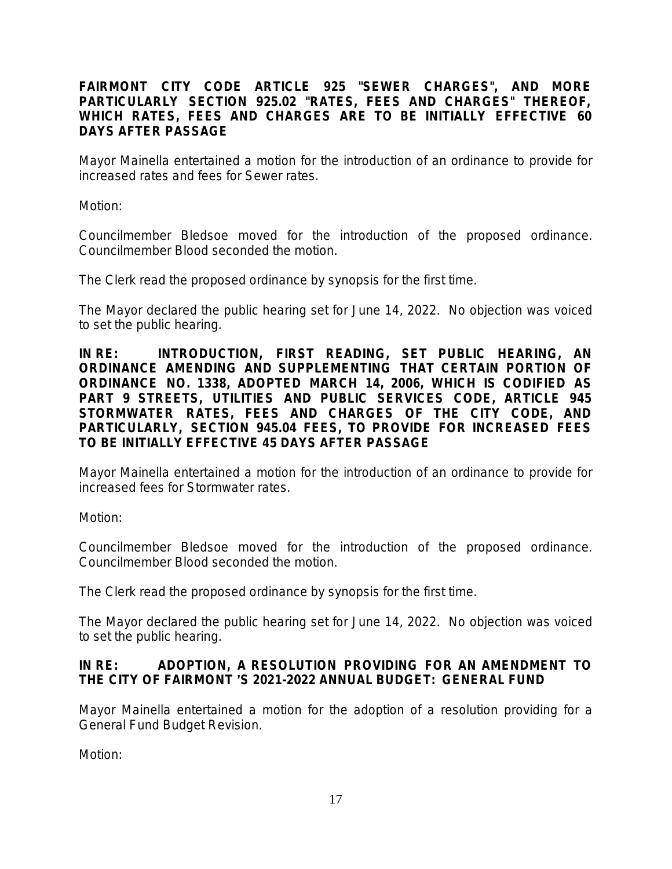## **FAIRMONT CITY CODE ARTICLE 925 "SEWER CHARGES", AND MORE PARTICULARLY SECTION 925.02 "RATES, FEES AND CHARGES" THEREOF, WHICH RATES, FEES AND CHARGES ARE TO BE INITIALLY EFFECTIVE 60 DAYS AFTER PASSAGE**

Mayor Mainella entertained a motion for the introduction of an ordinance to provide for increased rates and fees for Sewer rates.

Motion:

Councilmember Bledsoe moved for the introduction of the proposed ordinance. Councilmember Blood seconded the motion.

The Clerk read the proposed ordinance by synopsis for the first time.

The Mayor declared the public hearing set for June 14, 2022. No objection was voiced to set the public hearing.

**IN RE: INTRODUCTION, FIRST READING, SET PUBLIC HEARING, AN ORDINANCE AMENDING AND SUPPLEMENTING THAT CERTAIN PORTION OF ORDINANCE NO. 1338, ADOPTED MARCH 14, 2006, WHICH IS CODIFIED AS PART 9 STREETS, UTILITIES AND PUBLIC SERVICES CODE, ARTICLE 945 STORMWATER RATES, FEES AND CHARGES OF THE CITY CODE, AND PARTICULARLY, SECTION 945.04 FEES, TO PROVIDE FOR INCREASED FEES TO BE INITIALLY EFFECTIVE 45 DAYS AFTER PASSAGE**

Mayor Mainella entertained a motion for the introduction of an ordinance to provide for increased fees for Stormwater rates.

Motion:

Councilmember Bledsoe moved for the introduction of the proposed ordinance. Councilmember Blood seconded the motion.

The Clerk read the proposed ordinance by synopsis for the first time.

The Mayor declared the public hearing set for June 14, 2022. No objection was voiced to set the public hearing.

## **IN RE: ADOPTION, A RESOLUTION PROVIDING FOR AN AMENDMENT TO THE CITY OF FAIRMONT** '**S 2021-2022 ANNUAL BUDGET: GENERAL FUND**

Mayor Mainella entertained a motion for the adoption of a resolution providing for a General Fund Budget Revision.

Motion: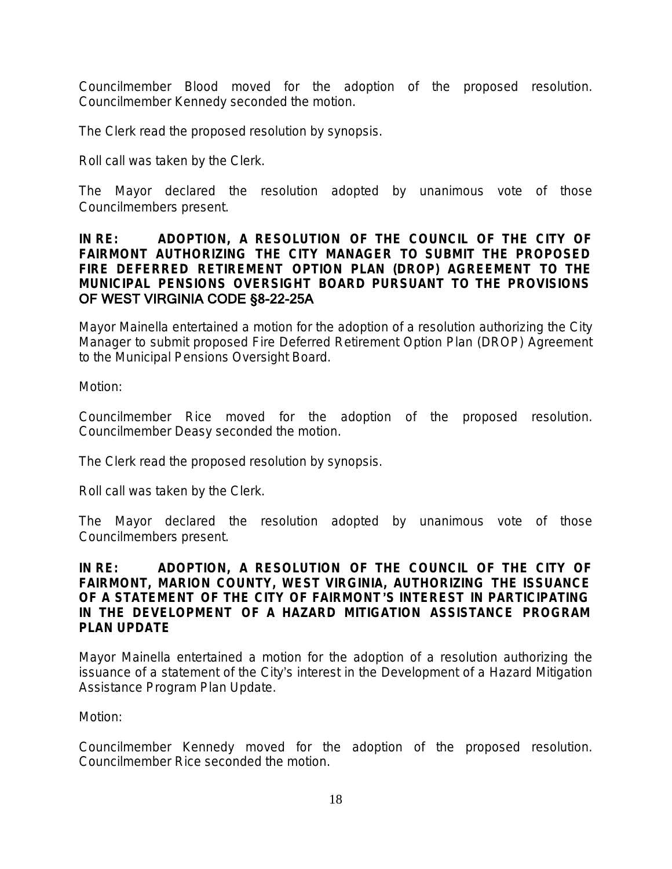Councilmember Blood moved for the adoption of the proposed resolution. Councilmember Kennedy seconded the motion.

The Clerk read the proposed resolution by synopsis.

Roll call was taken by the Clerk.

The Mayor declared the resolution adopted by unanimous vote of those Councilmembers present.

### **IN RE: ADOPTION, A RESOLUTION OF THE COUNCIL OF THE CITY OF FAIRMONT AUTHORIZING THE CITY MANAGER TO SUBMIT THE PROPOSED FIRE DEFERRED RETIREMENT OPTION PLAN (DROP) AGREEMENT TO THE MUNICIPAL PENSIONS OVERSIGHT BOARD PURSUANT TO THE PROVISIONS** OF WEST VIRGINIA CODE §8-22-25A

Mayor Mainella entertained a motion for the adoption of a resolution authorizing the City Manager to submit proposed Fire Deferred Retirement Option Plan (DROP) Agreement to the Municipal Pensions Oversight Board.

Motion:

Councilmember Rice moved for the adoption of the proposed resolution. Councilmember Deasy seconded the motion.

The Clerk read the proposed resolution by synopsis.

Roll call was taken by the Clerk.

The Mayor declared the resolution adopted by unanimous vote of those Councilmembers present.

#### **IN RE: ADOPTION, A RESOLUTION OF THE COUNCIL OF THE CITY OF FAIRMONT, MARION COUNTY, WEST VIRGINIA, AUTHORIZING THE ISSUANCE OF A STATEMENT OF THE CITY OF FAIRMONT**'**S INTEREST IN PARTICIPATING IN THE DEVELOPMENT OF A HAZARD MITIGATION ASSISTANCE PROGRAM PLAN UPDATE**

Mayor Mainella entertained a motion for the adoption of a resolution authorizing the issuance of a statement of the City's interest in the Development of a Hazard Mitigation Assistance Program Plan Update.

Motion:

Councilmember Kennedy moved for the adoption of the proposed resolution. Councilmember Rice seconded the motion.